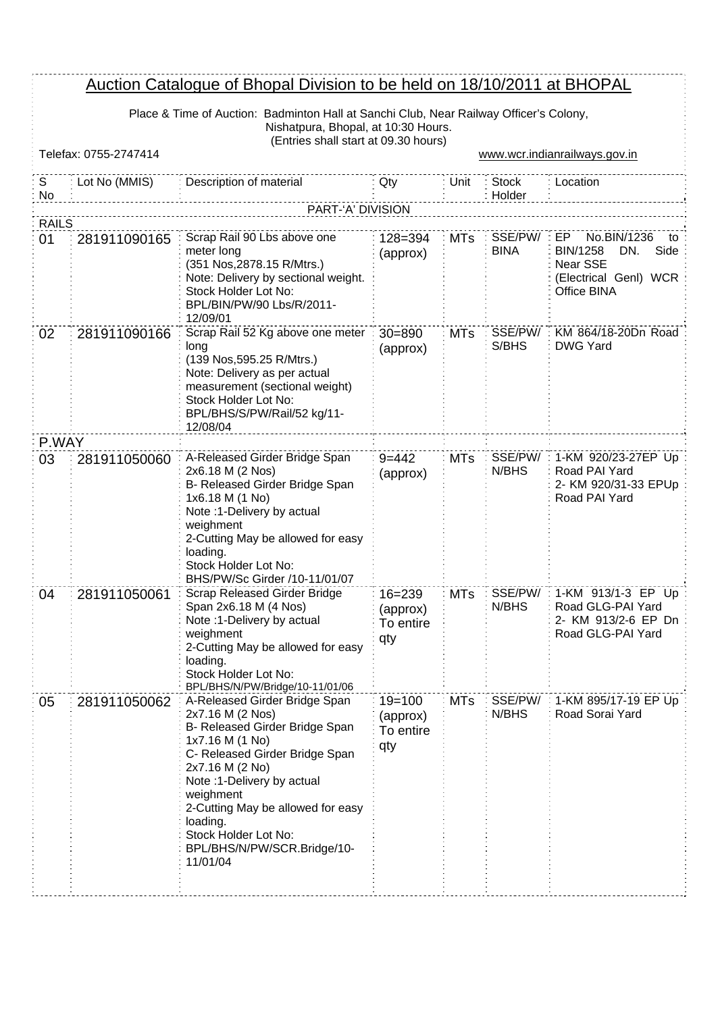## Auction Catalogue of Bhopal Division to be held on 18/10/2011 at BHOPAL

Place & Time of Auction: Badminton Hall at Sanchi Club, Near Railway Officer's Colony, Nishatpura, Bhopal, at 10:30 Hours.

|         | (Entries shall start at 09.30 hours)<br>Telefax: 0755-2747414<br>www.wcr.indianrailways.gov.in |                                                                                                                                                                                                                                                                                                                            |                                            |            |                             |                                                                                                  |  |  |  |
|---------|------------------------------------------------------------------------------------------------|----------------------------------------------------------------------------------------------------------------------------------------------------------------------------------------------------------------------------------------------------------------------------------------------------------------------------|--------------------------------------------|------------|-----------------------------|--------------------------------------------------------------------------------------------------|--|--|--|
|         |                                                                                                |                                                                                                                                                                                                                                                                                                                            |                                            |            |                             |                                                                                                  |  |  |  |
| S<br>No | Lot No (MMIS)                                                                                  | Description of material                                                                                                                                                                                                                                                                                                    | Qty                                        | Unit       | <b>Stock</b><br>Holder      | : Location                                                                                       |  |  |  |
|         | PART-'A' DIVISION<br><b>RAILS</b>                                                              |                                                                                                                                                                                                                                                                                                                            |                                            |            |                             |                                                                                                  |  |  |  |
| 01      | 281911090165                                                                                   | Scrap Rail 90 Lbs above one<br>meter long<br>(351 Nos, 2878.15 R/Mtrs.)<br>Note: Delivery by sectional weight.<br>Stock Holder Lot No:<br>BPL/BIN/PW/90 Lbs/R/2011-<br>12/09/01                                                                                                                                            | 128=394<br>(approx)                        | <b>MTs</b> | SSE/PW/ : EP<br><b>BINA</b> | No.BIN/1236<br>to<br>Side<br>BIN/1258<br>DN.<br>Near SSE<br>(Electrical Genl) WCR<br>Office BINA |  |  |  |
| 02      | 281911090166                                                                                   | Scrap Rail 52 Kg above one meter<br>long<br>(139 Nos, 595.25 R/Mtrs.)<br>Note: Delivery as per actual<br>measurement (sectional weight)<br>Stock Holder Lot No:<br>BPL/BHS/S/PW/Rail/52 kg/11-<br>12/08/04                                                                                                                 | $30 = 890$<br>(approx)                     | <b>MTs</b> | SSE/PW/<br>S/BHS            | KM 864/18-20Dn Road<br><b>DWG Yard</b>                                                           |  |  |  |
| P.WAY   |                                                                                                |                                                                                                                                                                                                                                                                                                                            |                                            |            |                             |                                                                                                  |  |  |  |
| 03      | 281911050060                                                                                   | A-Released Girder Bridge Span<br>2x6.18 M (2 Nos)<br>B- Released Girder Bridge Span<br>1x6.18 M (1 No)<br>Note :1-Delivery by actual<br>weighment<br>2-Cutting May be allowed for easy<br>loading.<br>Stock Holder Lot No:<br>BHS/PW/Sc Girder /10-11/01/07                                                                | $9 = 442$<br>(approx)                      | <b>MTs</b> | SSE/PW/<br>N/BHS            | 1-KM 920/23-27EP Up<br>Road PAI Yard<br>2- KM 920/31-33 EPUp<br>Road PAI Yard                    |  |  |  |
| 04      | 281911050061                                                                                   | <b>Scrap Released Girder Bridge</b><br>Span 2x6.18 M (4 Nos)<br>Note :1-Delivery by actual<br>weighment<br>2-Cutting May be allowed for easy<br>loading.<br>Stock Holder Lot No:<br>BPL/BHS/N/PW/Bridge/10-11/01/06                                                                                                        | $16 = 239$<br>(approx)<br>To entire<br>qty | <b>MTs</b> | SSE/PW/<br>N/BHS            | 1-KM 913/1-3 EP Up<br>Road GLG-PAI Yard<br>2- KM 913/2-6 EP Dn<br>Road GLG-PAI Yard              |  |  |  |
| 05      | 281911050062                                                                                   | A-Released Girder Bridge Span<br>2x7.16 M (2 Nos)<br>B- Released Girder Bridge Span<br>1x7.16 M (1 No)<br>C- Released Girder Bridge Span<br>2x7.16 M (2 No)<br>Note :1-Delivery by actual<br>weighment<br>2-Cutting May be allowed for easy<br>loading.<br>Stock Holder Lot No:<br>BPL/BHS/N/PW/SCR.Bridge/10-<br>11/01/04 | $19 = 100$<br>(approx)<br>To entire<br>qty | <b>MTs</b> | SSE/PW/<br>N/BHS            | 1-KM 895/17-19 EP Up<br>Road Sorai Yard                                                          |  |  |  |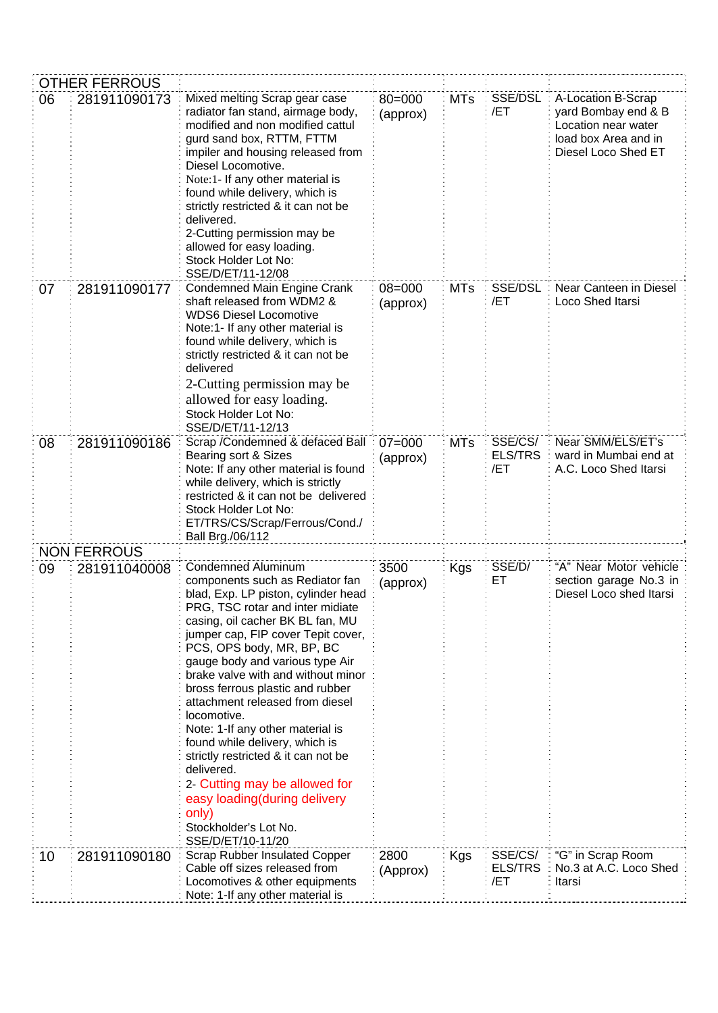|    | <b>OTHER FERROUS</b> |                                                                                                                                                                                                                                                                                                                                                                                                                                                                                                                                                                                                                                                                  |                        |            |                                  |                                                                                                                 |
|----|----------------------|------------------------------------------------------------------------------------------------------------------------------------------------------------------------------------------------------------------------------------------------------------------------------------------------------------------------------------------------------------------------------------------------------------------------------------------------------------------------------------------------------------------------------------------------------------------------------------------------------------------------------------------------------------------|------------------------|------------|----------------------------------|-----------------------------------------------------------------------------------------------------------------|
| 06 | 281911090173         | Mixed melting Scrap gear case<br>radiator fan stand, airmage body,<br>modified and non modified cattul<br>gurd sand box, RTTM, FTTM<br>impiler and housing released from<br>Diesel Locomotive.<br>Note:1- If any other material is<br>found while delivery, which is<br>strictly restricted & it can not be<br>delivered.<br>2-Cutting permission may be<br>allowed for easy loading.<br>Stock Holder Lot No:<br>SSE/D/ET/11-12/08                                                                                                                                                                                                                               | $80 = 000$<br>(approx) | <b>MTs</b> | SSE/DSL<br>/ET                   | A-Location B-Scrap<br>yard Bombay end & B<br>Location near water<br>load box Area and in<br>Diesel Loco Shed ET |
| 07 | 281911090177         | Condemned Main Engine Crank<br>shaft released from WDM2 &<br><b>WDS6 Diesel Locomotive</b><br>Note:1- If any other material is<br>found while delivery, which is<br>strictly restricted & it can not be<br>delivered<br>2-Cutting permission may be<br>allowed for easy loading.<br>Stock Holder Lot No:<br>SSE/D/ET/11-12/13                                                                                                                                                                                                                                                                                                                                    | $08 = 000$<br>(approx) | <b>MTs</b> | SSE/DSL<br>/ET                   | Near Canteen in Diesel<br>Loco Shed Itarsi                                                                      |
| 08 | 281911090186         | Scrap / Condemned & defaced Ball<br>Bearing sort & Sizes<br>Note: If any other material is found<br>while delivery, which is strictly<br>restricted & it can not be delivered<br>Stock Holder Lot No:<br>ET/TRS/CS/Scrap/Ferrous/Cond./<br>Ball Brg./06/112                                                                                                                                                                                                                                                                                                                                                                                                      | $07 = 000$<br>(approx) | <b>MTs</b> | SSE/CS/<br><b>ELS/TRS</b><br>/ET | Near SMM/ELS/ET's<br>ward in Mumbai end at<br>A.C. Loco Shed Itarsi                                             |
|    | <b>NON FERROUS</b>   |                                                                                                                                                                                                                                                                                                                                                                                                                                                                                                                                                                                                                                                                  |                        |            |                                  |                                                                                                                 |
| 09 | 281911040008         | <b>Condemned Aluminum</b><br>components such as Rediator fan<br>blad, Exp. LP piston, cylinder head<br>PRG, TSC rotar and inter midiate<br>casing, oil cacher BK BL fan, MU<br>jumper cap, FIP cover Tepit cover,<br>PCS, OPS body, MR, BP, BC<br>gauge body and various type Air<br>brake valve with and without minor<br>bross ferrous plastic and rubber<br>attachment released from diesel<br>locomotive.<br>Note: 1-If any other material is<br>found while delivery, which is<br>strictly restricted & it can not be<br>delivered.<br>2- Cutting may be allowed for<br>easy loading(during delivery<br>only)<br>Stockholder's Lot No.<br>SSE/D/ET/10-11/20 | 3500<br>(approx)       | Kgs        | SSE/D/<br>ЕT                     | "A" Near Motor vehicle<br>section garage No.3 in<br>Diesel Loco shed Itarsi                                     |
| 10 | 281911090180         | Scrap Rubber Insulated Copper<br>Cable off sizes released from<br>Locomotives & other equipments<br>Note: 1-If any other material is                                                                                                                                                                                                                                                                                                                                                                                                                                                                                                                             | 2800<br>(Approx)       | Kgs        | SSE/CS/<br>ELS/TRS<br>/ET        | "G" in Scrap Room<br>No.3 at A.C. Loco Shed<br>Itarsi                                                           |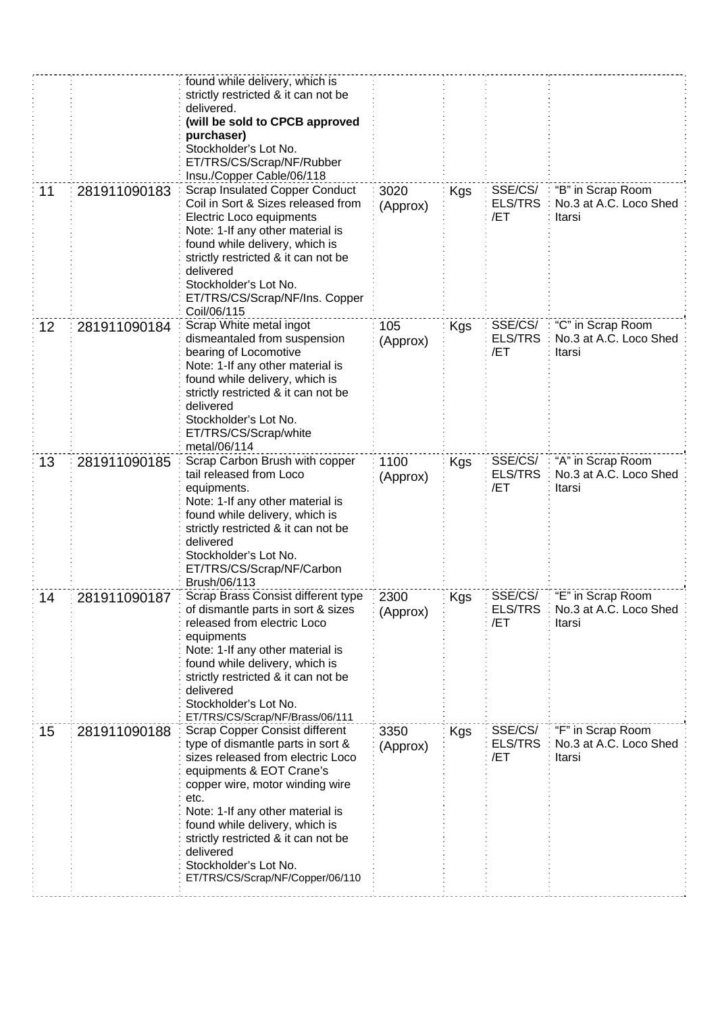| 11 | 281911090183 | found while delivery, which is<br>strictly restricted & it can not be<br>delivered.<br>(will be sold to CPCB approved<br>purchaser)<br>Stockholder's Lot No.<br>ET/TRS/CS/Scrap/NF/Rubber<br>Insu./Copper Cable/06/118<br><b>Scrap Insulated Copper Conduct</b><br>Coil in Sort & Sizes released from<br>Electric Loco equipments<br>Note: 1-If any other material is<br>found while delivery, which is<br>strictly restricted & it can not be<br>delivered<br>Stockholder's Lot No. | 3020<br>(Approx) | <b>Kgs</b> | SSE/CS/<br><b>ELS/TRS</b><br>/ET | "B" in Scrap Room<br>No.3 at A.C. Loco Shed<br>Itarsi |
|----|--------------|--------------------------------------------------------------------------------------------------------------------------------------------------------------------------------------------------------------------------------------------------------------------------------------------------------------------------------------------------------------------------------------------------------------------------------------------------------------------------------------|------------------|------------|----------------------------------|-------------------------------------------------------|
| 12 | 281911090184 | ET/TRS/CS/Scrap/NF/Ins. Copper<br>Coil/06/115<br>Scrap White metal ingot<br>dismeantaled from suspension                                                                                                                                                                                                                                                                                                                                                                             | 105              | <b>Kgs</b> | SSE/CS/<br><b>ELS/TRS</b>        | "C" in Scrap Room<br>No.3 at A.C. Loco Shed           |
|    |              | bearing of Locomotive<br>Note: 1-If any other material is<br>found while delivery, which is<br>strictly restricted & it can not be<br>delivered<br>Stockholder's Lot No.<br>ET/TRS/CS/Scrap/white<br>metal/06/114                                                                                                                                                                                                                                                                    | (Approx)         |            | /ET                              | Itarsi                                                |
| 13 | 281911090185 | Scrap Carbon Brush with copper<br>tail released from Loco<br>equipments.<br>Note: 1-If any other material is<br>found while delivery, which is<br>strictly restricted & it can not be<br>delivered<br>Stockholder's Lot No.<br>ET/TRS/CS/Scrap/NF/Carbon<br>Brush/06/113                                                                                                                                                                                                             | 1100<br>(Approx) | <b>Kgs</b> | SSE/CS/<br><b>ELS/TRS</b><br>/ET | "A" in Scrap Room<br>No.3 at A.C. Loco Shed<br>Itarsi |
| 14 | 281911090187 | Scrap Brass Consist different type<br>of dismantle parts in sort & sizes<br>released from electric Loco<br>equipments<br>Note: 1-If any other material is<br>found while delivery, which is<br>strictly restricted & it can not be<br>delivered<br>Stockholder's Lot No.<br>ET/TRS/CS/Scrap/NF/Brass/06/111                                                                                                                                                                          | 2300<br>(Approx) | Kgs        | SSE/CS/<br><b>ELS/TRS</b><br>/ET | "E" in Scrap Room<br>No.3 at A.C. Loco Shed<br>Itarsi |
| 15 | 281911090188 | Scrap Copper Consist different<br>type of dismantle parts in sort &<br>sizes released from electric Loco<br>equipments & EOT Crane's<br>copper wire, motor winding wire<br>etc.<br>Note: 1-If any other material is<br>found while delivery, which is<br>strictly restricted & it can not be<br>delivered<br>Stockholder's Lot No.<br>ET/TRS/CS/Scrap/NF/Copper/06/110                                                                                                               | 3350<br>(Approx) | Kgs        | SSE/CS/<br><b>ELS/TRS</b><br>/ET | "F" in Scrap Room<br>No.3 at A.C. Loco Shed<br>Itarsi |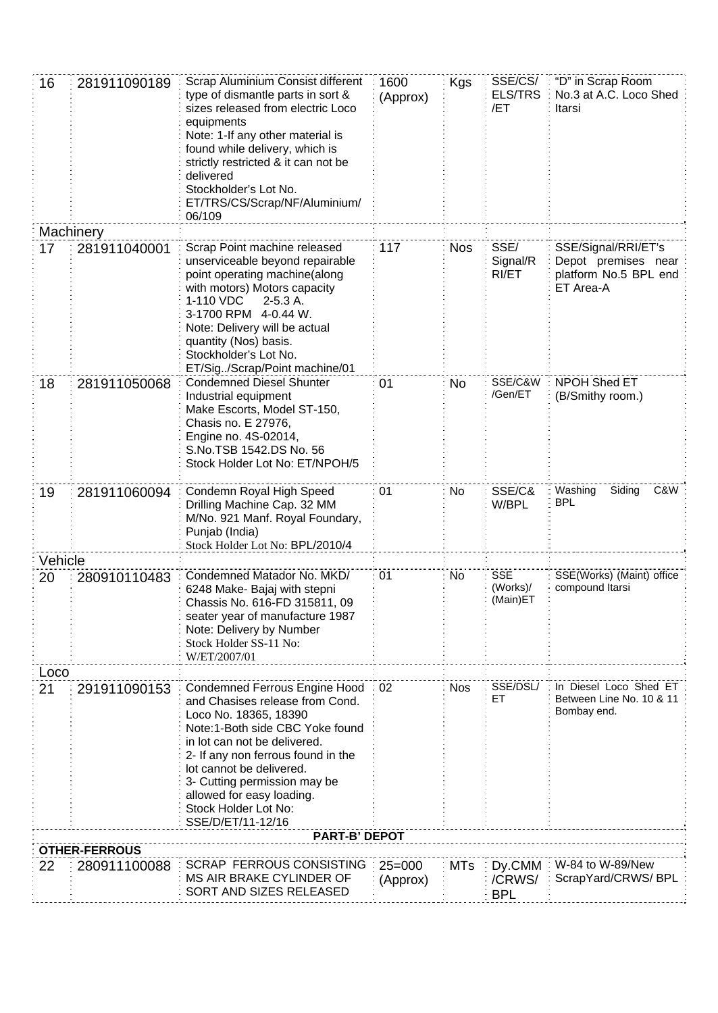| 16        | 281911090189         | Scrap Aluminium Consist different<br>type of dismantle parts in sort &<br>sizes released from electric Loco<br>equipments<br>Note: 1-If any other material is<br>found while delivery, which is<br>strictly restricted & it can not be<br>delivered<br>Stockholder's Lot No.<br>ET/TRS/CS/Scrap/NF/Aluminium/<br>06/109                         | 1600<br>(Approx)       | <b>Kgs</b> | SSE/CS/<br><b>ELS/TRS</b><br>/ET    | "D" in Scrap Room<br>No.3 at A.C. Loco Shed<br>Itarsi                            |
|-----------|----------------------|-------------------------------------------------------------------------------------------------------------------------------------------------------------------------------------------------------------------------------------------------------------------------------------------------------------------------------------------------|------------------------|------------|-------------------------------------|----------------------------------------------------------------------------------|
| Machinery |                      |                                                                                                                                                                                                                                                                                                                                                 |                        |            |                                     |                                                                                  |
| 17        | 281911040001         | Scrap Point machine released<br>unserviceable beyond repairable<br>point operating machine(along<br>with motors) Motors capacity<br>1-110 VDC<br>$2-5.3A$ .<br>3-1700 RPM 4-0.44 W.<br>Note: Delivery will be actual<br>quantity (Nos) basis.<br>Stockholder's Lot No.<br>ET/Sig/Scrap/Point machine/01                                         | 117                    | <b>Nos</b> | SSE/<br>Signal/R<br>RI/ET           | SSE/Signal/RRI/ET's<br>Depot premises near<br>platform No.5 BPL end<br>ET Area-A |
| 18        | 281911050068         | <b>Condemned Diesel Shunter</b><br>Industrial equipment<br>Make Escorts, Model ST-150,<br>Chasis no. E 27976,<br>Engine no. 4S-02014,<br>S.No.TSB 1542.DS No. 56<br>Stock Holder Lot No: ET/NPOH/5                                                                                                                                              | 01                     | <b>No</b>  | SSE/C&W<br>/Gen/ET                  | NPOH Shed ET<br>(B/Smithy room.)                                                 |
| 19        | 281911060094         | Condemn Royal High Speed<br>Drilling Machine Cap. 32 MM<br>M/No. 921 Manf. Royal Foundary,<br>Punjab (India)<br>Stock Holder Lot No: BPL/2010/4                                                                                                                                                                                                 | 01                     | No         | SSE/C&<br>W/BPL                     | C&W<br>Washing<br>Siding<br><b>BPL</b>                                           |
| Vehicle   |                      |                                                                                                                                                                                                                                                                                                                                                 |                        |            |                                     |                                                                                  |
| 20        | 280910110483         | Condemned Matador No. MKD/<br>6248 Make- Bajaj with stepni<br>Chassis No. 616-FD 315811, 09<br>seater year of manufacture 1987<br>Note: Delivery by Number<br>Stock Holder SS-11 No:<br>W/ET/2007/01                                                                                                                                            | 01                     | No         | <b>SSE</b><br>(Works)/<br>(Main)E I | SSE(Works) (Maint) office<br>compound Itarsi                                     |
| Loco      |                      |                                                                                                                                                                                                                                                                                                                                                 |                        |            |                                     |                                                                                  |
| 21        | 291911090153         | <b>Condemned Ferrous Engine Hood</b><br>and Chasises release from Cond.<br>Loco No. 18365, 18390<br>Note:1-Both side CBC Yoke found<br>in lot can not be delivered.<br>2- If any non ferrous found in the<br>lot cannot be delivered.<br>3- Cutting permission may be<br>allowed for easy loading.<br>Stock Holder Lot No:<br>SSE/D/ET/11-12/16 | 02                     | <b>Nos</b> | SSE/DSL/<br>EТ                      | In Diesel Loco Shed ET<br>Between Line No. 10 & 11<br>Bombay end.                |
|           | <b>OTHER-FERROUS</b> | <b>PART-B' DEPOT</b>                                                                                                                                                                                                                                                                                                                            |                        |            |                                     |                                                                                  |
| 22        | 280911100088         | <b>SCRAP FERROUS CONSISTING</b><br>MS AIR BRAKE CYLINDER OF<br>SORT AND SIZES RELEASED                                                                                                                                                                                                                                                          | $25 = 000$<br>(Approx) | <b>MTs</b> | Dy.CMM<br>/CRWS/<br><b>BPL</b>      | W-84 to W-89/New<br>ScrapYard/CRWS/BPL                                           |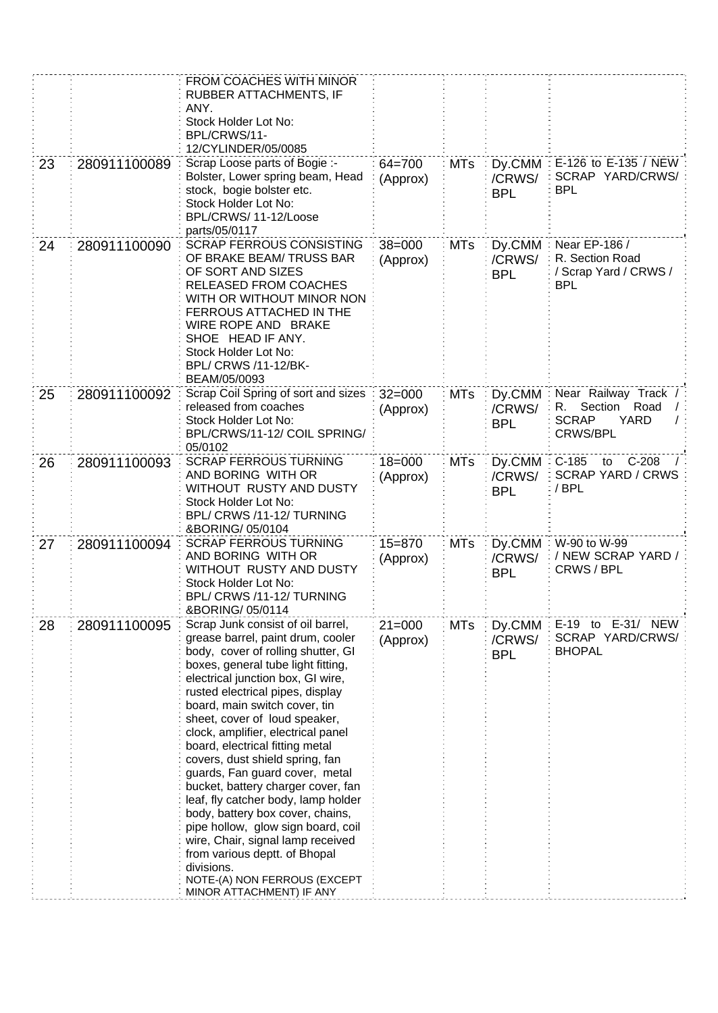|    |              | FROM COACHES WITH MINOR<br>RUBBER ATTACHMENTS, IF<br>ANY.<br>Stock Holder Lot No:<br>BPL/CRWS/11-<br>12/CYLINDER/05/0085                                                                                                                                                                                                                                                                                                                                                                                                                                                                                                                                                                                                                           |                        |            |                                 |                                                                                                 |
|----|--------------|----------------------------------------------------------------------------------------------------------------------------------------------------------------------------------------------------------------------------------------------------------------------------------------------------------------------------------------------------------------------------------------------------------------------------------------------------------------------------------------------------------------------------------------------------------------------------------------------------------------------------------------------------------------------------------------------------------------------------------------------------|------------------------|------------|---------------------------------|-------------------------------------------------------------------------------------------------|
| 23 | 280911100089 | Scrap Loose parts of Bogie :-<br>Bolster, Lower spring beam, Head<br>stock, bogie bolster etc.<br>Stock Holder Lot No:<br>BPL/CRWS/11-12/Loose<br>parts/05/0117                                                                                                                                                                                                                                                                                                                                                                                                                                                                                                                                                                                    | $64 = 700$<br>(Approx) | <b>MTs</b> | Dy.CMM<br>/CRWS/<br><b>BPL</b>  | E-126 to E-135 / NEW<br>SCRAP YARD/CRWS/<br><b>BPL</b>                                          |
| 24 | 280911100090 | <b>SCRAP FERROUS CONSISTING</b><br>OF BRAKE BEAM/ TRUSS BAR<br>OF SORT AND SIZES<br><b>RELEASED FROM COACHES</b><br>WITH OR WITHOUT MINOR NON<br>FERROUS ATTACHED IN THE<br>WIRE ROPE AND BRAKE<br>SHOE HEAD IF ANY.<br>Stock Holder Lot No:<br>BPL/ CRWS /11-12/BK-<br>BEAM/05/0093                                                                                                                                                                                                                                                                                                                                                                                                                                                               | $38 = 000$<br>(Approx) | <b>MTs</b> | Dy.CMM<br>/CRWS/<br><b>BPL</b>  | Near EP-186 /<br>R. Section Road<br>/ Scrap Yard / CRWS /<br><b>BPL</b>                         |
| 25 | 280911100092 | Scrap Coil Spring of sort and sizes:<br>released from coaches<br>Stock Holder Lot No:<br>BPL/CRWS/11-12/ COIL SPRING/<br>05/0102                                                                                                                                                                                                                                                                                                                                                                                                                                                                                                                                                                                                                   | $32 = 000$<br>(Approx) | <b>MTs</b> | Dy.CMM<br>/CRWS/<br><b>BPL</b>  | Near Railway Track /<br>Section<br>Road<br>R.<br><b>SCRAP</b><br><b>YARD</b><br><b>CRWS/BPL</b> |
| 26 | 280911100093 | <b>SCRAP FERROUS TURNING</b><br>AND BORING WITH OR<br>WITHOUT RUSTY AND DUSTY<br>Stock Holder Lot No:<br>BPL/ CRWS /11-12/ TURNING<br>&BORING/ 05/0104                                                                                                                                                                                                                                                                                                                                                                                                                                                                                                                                                                                             | $18 = 000$<br>(Approx) | <b>MTs</b> | Dy.CMM:<br>/CRWS/<br><b>BPL</b> | $C-185$<br>$C-208$<br>to<br><b>SCRAP YARD / CRWS</b><br>/BPL                                    |
| 27 | 280911100094 | <b>SCRAP FERROUS TURNING</b><br>AND BORING WITH OR<br>WITHOUT RUSTY AND DUSTY<br>Stock Holder Lot No:<br>BPL/ CRWS /11-12/ TURNING<br>&BORING/ 05/0114                                                                                                                                                                                                                                                                                                                                                                                                                                                                                                                                                                                             | $15 = 870$<br>(Approx) | <b>MTs</b> | Dy.CMM<br>/CRWS/<br><b>BPL</b>  | W-90 to W-99<br>/ NEW SCRAP YARD /<br>CRWS / BPL                                                |
| 28 | 280911100095 | Scrap Junk consist of oil barrel,<br>grease barrel, paint drum, cooler<br>body, cover of rolling shutter, GI<br>boxes, general tube light fitting,<br>electrical junction box, GI wire,<br>rusted electrical pipes, display<br>board, main switch cover, tin<br>sheet, cover of loud speaker,<br>clock, amplifier, electrical panel<br>board, electrical fitting metal<br>covers, dust shield spring, fan<br>guards, Fan guard cover, metal<br>bucket, battery charger cover, fan<br>leaf, fly catcher body, lamp holder<br>body, battery box cover, chains,<br>pipe hollow, glow sign board, coil<br>wire, Chair, signal lamp received<br>from various deptt. of Bhopal<br>divisions.<br>NOTE-(A) NON FERROUS (EXCEPT<br>MINOR ATTACHMENT) IF ANY | $21 = 000$<br>(Approx) | <b>MTs</b> | Dy.CMM<br>/CRWS/<br><b>BPL</b>  | E-19 to E-31/ NEW<br>SCRAP YARD/CRWS/<br><b>BHOPAL</b>                                          |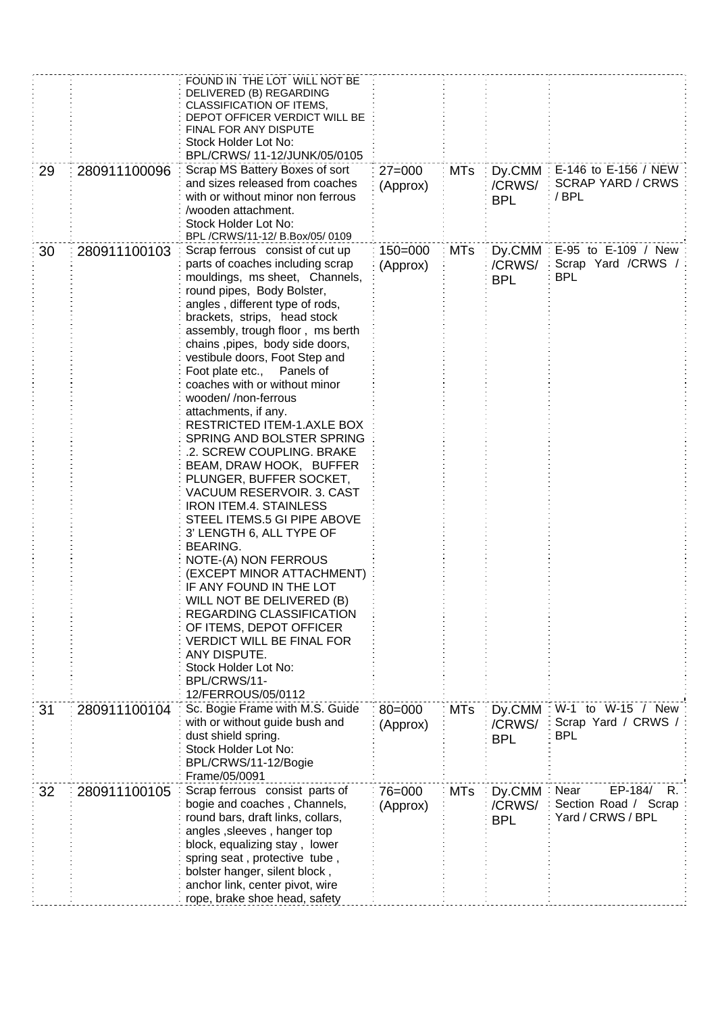|    |              | FOUND IN THE LOT WILL NOT BE<br>DELIVERED (B) REGARDING<br>CLASSIFICATION OF ITEMS,<br>DEPOT OFFICER VERDICT WILL BE<br><b>FINAL FOR ANY DISPUTE</b><br>Stock Holder Lot No:<br>BPL/CRWS/ 11-12/JUNK/05/0105                                                                                                                                                                                                                                                                                                                                                                                                                                                                                                                                                                                                                                                                                                                                                                                                                           |                         |            |                                                 |                                                                    |
|----|--------------|----------------------------------------------------------------------------------------------------------------------------------------------------------------------------------------------------------------------------------------------------------------------------------------------------------------------------------------------------------------------------------------------------------------------------------------------------------------------------------------------------------------------------------------------------------------------------------------------------------------------------------------------------------------------------------------------------------------------------------------------------------------------------------------------------------------------------------------------------------------------------------------------------------------------------------------------------------------------------------------------------------------------------------------|-------------------------|------------|-------------------------------------------------|--------------------------------------------------------------------|
| 29 | 280911100096 | Scrap MS Battery Boxes of sort<br>and sizes released from coaches<br>with or without minor non ferrous<br>wooden attachment.<br>Stock Holder Lot No:<br>BPL /CRWS/11-12/ B.Box/05/ 0109                                                                                                                                                                                                                                                                                                                                                                                                                                                                                                                                                                                                                                                                                                                                                                                                                                                | $27 = 000$<br>(Approx)  | <b>MTs</b> | $Dy$ .CMM $\frac{1}{2}$<br>/CRWS/<br><b>BPL</b> | E-146 to E-156 / NEW<br><b>SCRAP YARD / CRWS</b><br>/BPL           |
| 30 | 280911100103 | Scrap ferrous consist of cut up<br>parts of coaches including scrap<br>mouldings, ms sheet, Channels,<br>round pipes, Body Bolster,<br>angles, different type of rods,<br>brackets, strips, head stock<br>assembly, trough floor, ms berth<br>chains , pipes, body side doors,<br>vestibule doors, Foot Step and<br>Foot plate etc.,<br>Panels of<br>coaches with or without minor<br>wooden//non-ferrous<br>attachments, if any.<br><b>RESTRICTED ITEM-1.AXLE BOX</b><br>SPRING AND BOLSTER SPRING<br>.2. SCREW COUPLING. BRAKE<br>BEAM, DRAW HOOK, BUFFER<br>PLUNGER, BUFFER SOCKET,<br><b>VACUUM RESERVOIR. 3. CAST</b><br><b>IRON ITEM.4. STAINLESS</b><br>STEEL ITEMS.5 GI PIPE ABOVE<br>3' LENGTH 6, ALL TYPE OF<br><b>BEARING.</b><br>NOTE-(A) NON FERROUS<br>(EXCEPT MINOR ATTACHMENT)<br>IF ANY FOUND IN THE LOT<br>WILL NOT BE DELIVERED (B)<br><b>REGARDING CLASSIFICATION</b><br>OF ITEMS, DEPOT OFFICER<br><b>VERDICT WILL BE FINAL FOR</b><br>ANY DISPUTE.<br>Stock Holder Lot No:<br>BPL/CRWS/11-<br>12/FERROUS/05/0112 | $150 = 000$<br>(Approx) | <b>MTs</b> | $Dy$ .CMM $\frac{1}{2}$<br>/CRWS/<br><b>BPL</b> | E-95 to E-109 / New<br>Scrap Yard / CRWS / :<br><b>BPL</b>         |
| 31 | 280911100104 | Sc. Bogie Frame with M.S. Guide<br>with or without guide bush and<br>dust shield spring.<br>Stock Holder Lot No:<br>BPL/CRWS/11-12/Bogie<br>Frame/05/0091                                                                                                                                                                                                                                                                                                                                                                                                                                                                                                                                                                                                                                                                                                                                                                                                                                                                              | $80 = 000$<br>(Approx)  | <b>MTs</b> | Dy.CMM<br>/CRWS/<br><b>BPL</b>                  | W-1 to W-15 / New<br>Scrap Yard / CRWS /<br>BPL                    |
| 32 | 280911100105 | Scrap ferrous consist parts of<br>bogie and coaches, Channels,<br>round bars, draft links, collars,<br>angles, sleeves, hanger top<br>block, equalizing stay, lower<br>spring seat, protective tube,<br>bolster hanger, silent block,<br>anchor link, center pivot, wire<br>rope, brake shoe head, safety                                                                                                                                                                                                                                                                                                                                                                                                                                                                                                                                                                                                                                                                                                                              | 76=000<br>(Approx)      | <b>MTs</b> | Dy.CMM<br>/CRWS/<br><b>BPL</b>                  | Near<br>EP-184/<br>R.<br>Section Road / Scrap<br>Yard / CRWS / BPL |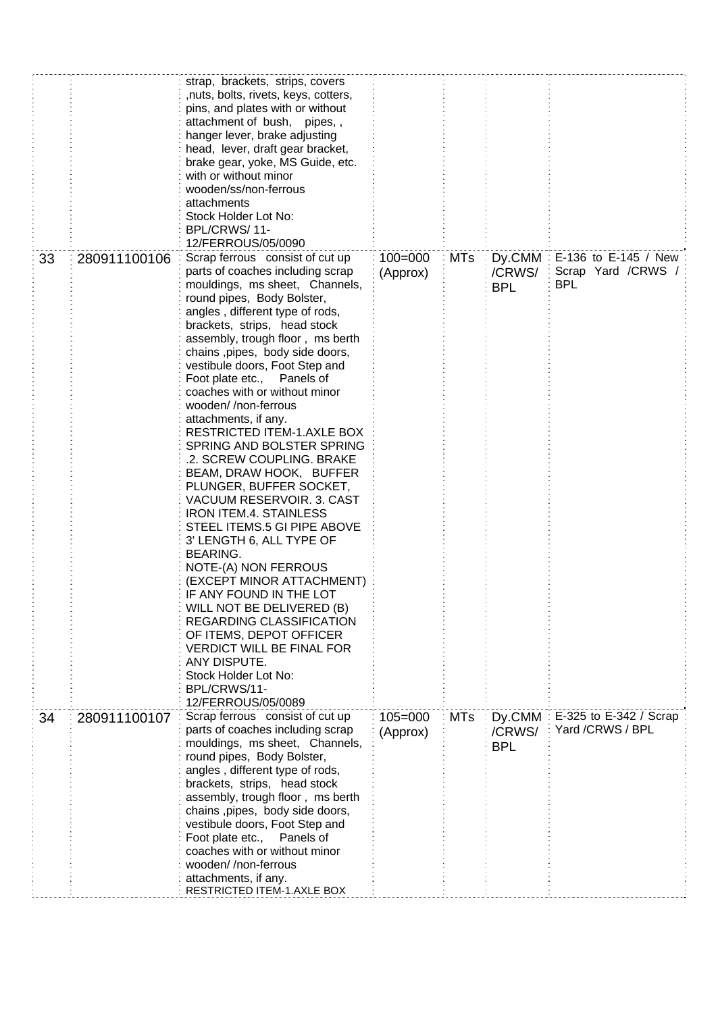|    |              | strap, brackets, strips, covers<br>,nuts, bolts, rivets, keys, cotters,<br>pins, and plates with or without<br>attachment of bush, pipes,,<br>hanger lever, brake adjusting<br>head, lever, draft gear bracket,<br>brake gear, yoke, MS Guide, etc.<br>with or without minor<br>wooden/ss/non-ferrous<br>attachments<br>Stock Holder Lot No:<br>BPL/CRWS/11-<br>12/FERROUS/05/0090                                                                                                                                                                                                                                                                                                                                                                                                                                                                                                                                                                                                                                    |                         |            |                                |                                                          |
|----|--------------|-----------------------------------------------------------------------------------------------------------------------------------------------------------------------------------------------------------------------------------------------------------------------------------------------------------------------------------------------------------------------------------------------------------------------------------------------------------------------------------------------------------------------------------------------------------------------------------------------------------------------------------------------------------------------------------------------------------------------------------------------------------------------------------------------------------------------------------------------------------------------------------------------------------------------------------------------------------------------------------------------------------------------|-------------------------|------------|--------------------------------|----------------------------------------------------------|
| 33 | 280911100106 | Scrap ferrous consist of cut up<br>parts of coaches including scrap<br>mouldings, ms sheet, Channels,<br>round pipes, Body Bolster,<br>angles, different type of rods,<br>brackets, strips, head stock<br>assembly, trough floor, ms berth<br>chains , pipes, body side doors,<br>vestibule doors, Foot Step and<br>Foot plate etc., Panels of<br>coaches with or without minor<br>wooden//non-ferrous<br>attachments, if any.<br><b>RESTRICTED ITEM-1.AXLE BOX</b><br>SPRING AND BOLSTER SPRING<br>.2. SCREW COUPLING. BRAKE<br>BEAM, DRAW HOOK, BUFFER<br>PLUNGER, BUFFER SOCKET,<br>VACUUM RESERVOIR. 3. CAST<br><b>IRON ITEM.4. STAINLESS</b><br>STEEL ITEMS.5 GI PIPE ABOVE<br>3' LENGTH 6, ALL TYPE OF<br><b>BEARING.</b><br>NOTE-(A) NON FERROUS<br>(EXCEPT MINOR ATTACHMENT)<br>IF ANY FOUND IN THE LOT<br>WILL NOT BE DELIVERED (B)<br>REGARDING CLASSIFICATION<br>OF ITEMS, DEPOT OFFICER<br><b>VERDICT WILL BE FINAL FOR</b><br>ANY DISPUTE.<br>Stock Holder Lot No:<br>BPL/CRWS/11-<br>12/FERROUS/05/0089 | $100 = 000$<br>(Approx) | <b>MTs</b> | Dy.CMM<br>/CRWS/<br><b>BPL</b> | E-136 to E-145 / New<br>Scrap Yard /CRWS /<br><b>BPL</b> |
| 34 | 280911100107 | Scrap ferrous consist of cut up<br>parts of coaches including scrap<br>mouldings, ms sheet, Channels,<br>round pipes, Body Bolster,<br>angles, different type of rods,<br>brackets, strips, head stock<br>assembly, trough floor, ms berth<br>chains , pipes, body side doors,<br>vestibule doors, Foot Step and<br>Foot plate etc.,<br>Panels of<br>coaches with or without minor<br>wooden//non-ferrous<br>attachments, if any.<br>RESTRICTED ITEM-1.AXLE BOX                                                                                                                                                                                                                                                                                                                                                                                                                                                                                                                                                       | $105 = 000$<br>(Approx) | <b>MTs</b> | Dy.CMM<br>/CRWS/<br><b>BPL</b> | E-325 to E-342 / Scrap<br>Yard /CRWS / BPL               |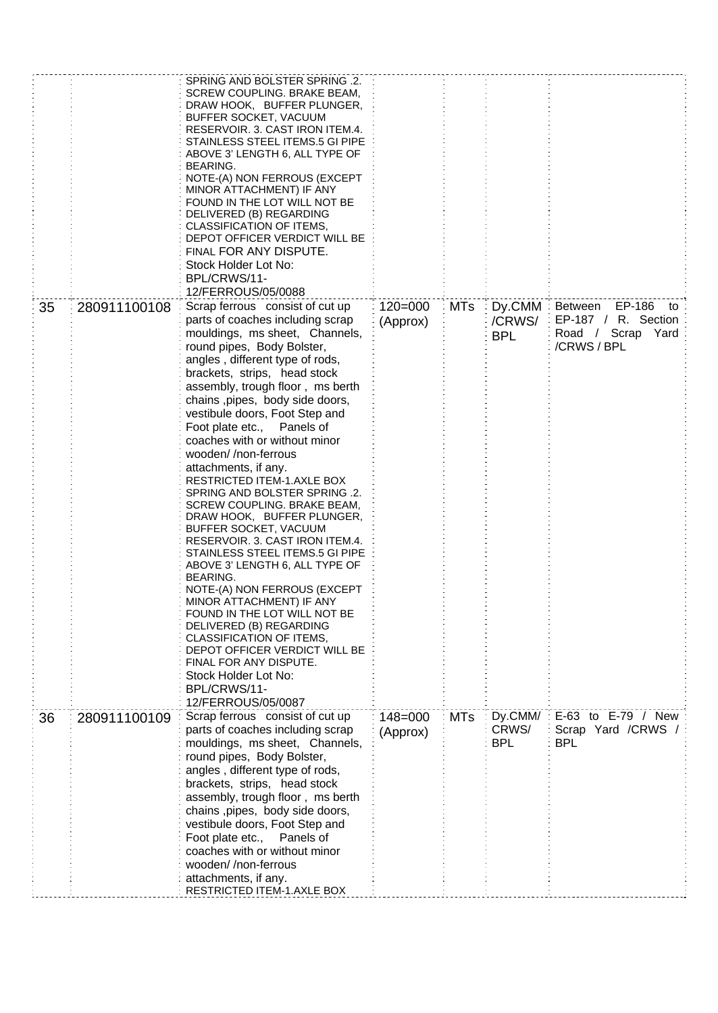|    |              | SPRING AND BOLSTER SPRING .2.<br>SCREW COUPLING. BRAKE BEAM,<br>DRAW HOOK, BUFFER PLUNGER,<br>BUFFER SOCKET, VACUUM<br>RESERVOIR. 3. CAST IRON ITEM.4.<br>STAINLESS STEEL ITEMS.5 GI PIPE<br>ABOVE 3' LENGTH 6, ALL TYPE OF<br>BEARING.<br>NOTE-(A) NON FERROUS (EXCEPT<br>MINOR ATTACHMENT) IF ANY<br>FOUND IN THE LOT WILL NOT BE<br>DELIVERED (B) REGARDING<br>CLASSIFICATION OF ITEMS,<br>DEPOT OFFICER VERDICT WILL BE<br>FINAL FOR ANY DISPUTE.<br>Stock Holder Lot No:<br>BPL/CRWS/11-<br>12/FERROUS/05/0088                                                                                                                                                                                                                                                                                                                                                                                                                                                                               |                         |            |                                |                                                                                    |
|----|--------------|---------------------------------------------------------------------------------------------------------------------------------------------------------------------------------------------------------------------------------------------------------------------------------------------------------------------------------------------------------------------------------------------------------------------------------------------------------------------------------------------------------------------------------------------------------------------------------------------------------------------------------------------------------------------------------------------------------------------------------------------------------------------------------------------------------------------------------------------------------------------------------------------------------------------------------------------------------------------------------------------------|-------------------------|------------|--------------------------------|------------------------------------------------------------------------------------|
| 35 | 280911100108 | Scrap ferrous consist of cut up<br>parts of coaches including scrap<br>mouldings, ms sheet, Channels,<br>round pipes, Body Bolster,<br>angles, different type of rods,<br>brackets, strips, head stock<br>assembly, trough floor, ms berth<br>chains , pipes, body side doors,<br>vestibule doors, Foot Step and<br>Foot plate etc., Panels of<br>coaches with or without minor<br>wooden//non-ferrous<br>attachments, if any.<br><b>RESTRICTED ITEM-1.AXLE BOX</b><br>SPRING AND BOLSTER SPRING .2.<br>SCREW COUPLING. BRAKE BEAM,<br>DRAW HOOK, BUFFER PLUNGER,<br>BUFFER SOCKET, VACUUM<br>RESERVOIR. 3. CAST IRON ITEM.4.<br>STAINLESS STEEL ITEMS.5 GI PIPE<br>ABOVE 3' LENGTH 6, ALL TYPE OF<br><b>BEARING.</b><br>NOTE-(A) NON FERROUS (EXCEPT<br>MINOR ATTACHMENT) IF ANY<br>FOUND IN THE LOT WILL NOT BE<br>DELIVERED (B) REGARDING<br>CLASSIFICATION OF ITEMS,<br>DEPOT OFFICER VERDICT WILL BE<br>FINAL FOR ANY DISPUTE.<br>Stock Holder Lot No:<br>BPL/CRWS/11-<br>12/FERROUS/05/0087 | $120 = 000$<br>(Approx) | MTs        | Dy.CMM<br>/CRWS/<br><b>BPL</b> | Between EP-186<br>to<br>EP-187 / R. Section<br>Road / Scrap<br>Yard<br>/CRWS / BPL |
| 36 | 280911100109 | Scrap ferrous consist of cut up<br>parts of coaches including scrap<br>mouldings, ms sheet, Channels,<br>round pipes, Body Bolster,<br>angles, different type of rods,<br>brackets, strips, head stock<br>assembly, trough floor, ms berth<br>chains , pipes, body side doors,<br>vestibule doors, Foot Step and<br>Foot plate etc.,<br>Panels of<br>coaches with or without minor<br>wooden//non-ferrous<br>attachments, if any.<br>RESTRICTED ITEM-1.AXLE BOX                                                                                                                                                                                                                                                                                                                                                                                                                                                                                                                                   | $148 = 000$<br>(Approx) | <b>MTs</b> | Dy.CMM/<br>CRWS/<br><b>BPL</b> | E-63 to E-79 / New<br>Scrap Yard / CRWS /<br><b>BPL</b>                            |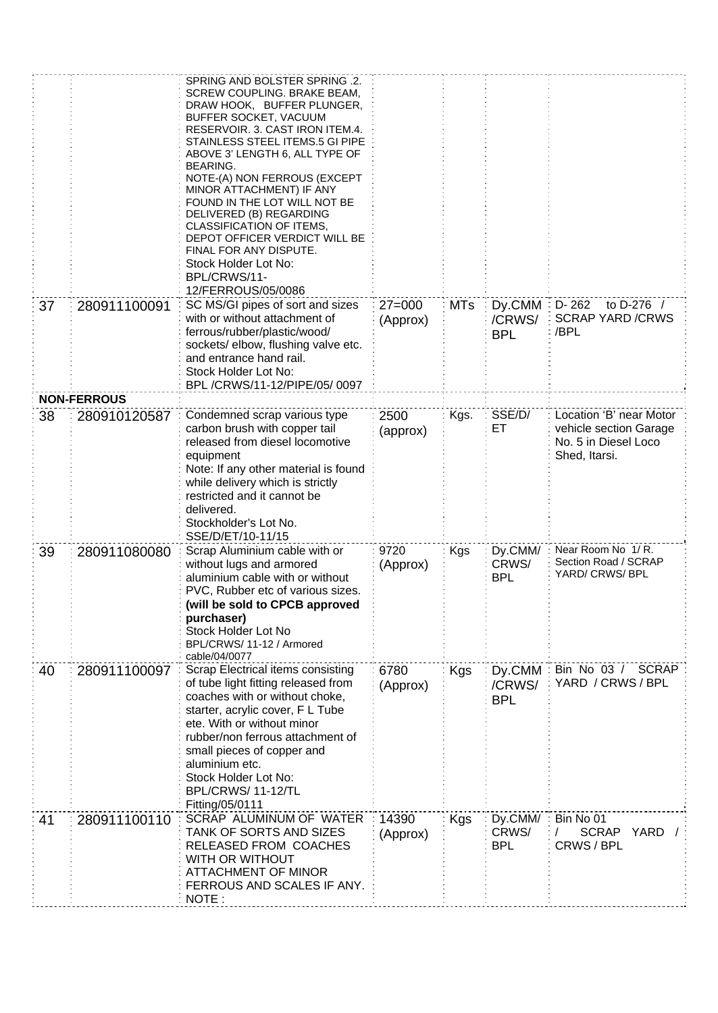|    |                                    | SPRING AND BOLSTER SPRING .2.<br>SCREW COUPLING. BRAKE BEAM,<br>DRAW HOOK, BUFFER PLUNGER,<br>BUFFER SOCKET, VACUUM<br>RESERVOIR. 3. CAST IRON ITEM.4.<br>STAINLESS STEEL ITEMS.5 GI PIPE<br>ABOVE 3' LENGTH 6, ALL TYPE OF<br><b>BEARING.</b><br>NOTE-(A) NON FERROUS (EXCEPT<br>MINOR ATTACHMENT) IF ANY<br>FOUND IN THE LOT WILL NOT BE<br>DELIVERED (B) REGARDING<br>CLASSIFICATION OF ITEMS,<br>DEPOT OFFICER VERDICT WILL BE<br>FINAL FOR ANY DISPUTE.<br>Stock Holder Lot No:<br>BPL/CRWS/11-<br>12/FERROUS/05/0086 |                        |            |                                |                                                                 |
|----|------------------------------------|----------------------------------------------------------------------------------------------------------------------------------------------------------------------------------------------------------------------------------------------------------------------------------------------------------------------------------------------------------------------------------------------------------------------------------------------------------------------------------------------------------------------------|------------------------|------------|--------------------------------|-----------------------------------------------------------------|
| 37 | 280911100091                       | SC MS/GI pipes of sort and sizes<br>with or without attachment of<br>ferrous/rubber/plastic/wood/<br>sockets/elbow, flushing valve etc.<br>and entrance hand rail.<br>Stock Holder Lot No:<br>BPL/CRWS/11-12/PIPE/05/0097                                                                                                                                                                                                                                                                                                  | $27 = 000$<br>(Approx) | <b>MTs</b> | Dy.CMM<br>/CRWS/<br><b>BPL</b> | to D-276 /<br>$D - 262$<br><b>SCRAP YARD /CRWS</b><br>/BPL      |
| 38 | <b>NON-FERROUS</b><br>280910120587 | Condemned scrap various type                                                                                                                                                                                                                                                                                                                                                                                                                                                                                               | 2500                   | Kgs.       | SSE/D/                         | Location 'B' near Motor                                         |
|    |                                    | carbon brush with copper tail<br>released from diesel locomotive<br>equipment<br>Note: If any other material is found<br>while delivery which is strictly<br>restricted and it cannot be<br>delivered.<br>Stockholder's Lot No.<br>SSE/D/ET/10-11/15                                                                                                                                                                                                                                                                       | (approx)               |            | ET                             | vehicle section Garage<br>No. 5 in Diesel Loco<br>Shed, Itarsi. |
| 39 | 280911080080                       | Scrap Aluminium cable with or<br>without lugs and armored<br>aluminium cable with or without<br>PVC, Rubber etc of various sizes.<br>(will be sold to CPCB approved<br>purchaser)<br>Stock Holder Lot No<br>BPL/CRWS/ 11-12 / Armored<br>cable/04/0077                                                                                                                                                                                                                                                                     | 9720<br>(Approx)       | <b>Kgs</b> | Dy.CMM/<br>CRWS/<br><b>BPL</b> | Near Room No 1/R.<br>Section Road / SCRAP<br>YARD/ CRWS/ BPL    |
| 40 | 280911100097                       | Scrap Electrical items consisting<br>of tube light fitting released from<br>coaches with or without choke,<br>starter, acrylic cover, F L Tube<br>ete. With or without minor<br>rubber/non ferrous attachment of<br>small pieces of copper and<br>aluminium etc.<br>Stock Holder Lot No:<br>BPL/CRWS/11-12/TL<br>Fitting/05/0111                                                                                                                                                                                           | 6780<br>(Approx)       | Kgs        | Dy.CMM<br>/CRWS/<br><b>BPL</b> | Bin No 03 / SCRAP<br>YARD / CRWS / BPL                          |
| 41 | 280911100110                       | SCRAP ALUMINUM OF WATER<br>TANK OF SORTS AND SIZES<br>RELEASED FROM COACHES<br>WITH OR WITHOUT<br><b>ATTACHMENT OF MINOR</b><br>FERROUS AND SCALES IF ANY.<br>NOTE:                                                                                                                                                                                                                                                                                                                                                        | 14390<br>(Approx)      | Kgs        | Dy.CMM/<br>CRWS/<br><b>BPL</b> | Bin No 01<br>SCRAP YARD /<br>CRWS / BPL                         |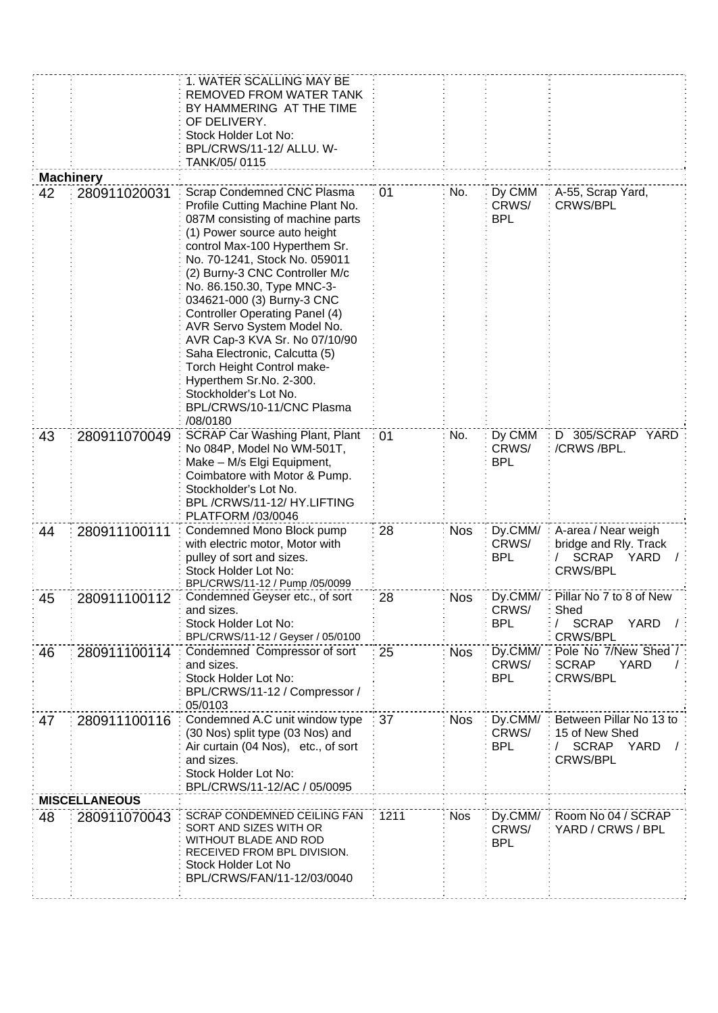|    |                      | 1. WATER SCALLING MAY BE<br>REMOVED FROM WATER TANK<br>BY HAMMERING AT THE TIME<br>OF DELIVERY.<br>Stock Holder Lot No:<br>BPL/CRWS/11-12/ ALLU. W-<br>TANK/05/0115                                                                                                                                                                                                                                                                                                                                                                                                     |      |            |                                  |                                                                                         |
|----|----------------------|-------------------------------------------------------------------------------------------------------------------------------------------------------------------------------------------------------------------------------------------------------------------------------------------------------------------------------------------------------------------------------------------------------------------------------------------------------------------------------------------------------------------------------------------------------------------------|------|------------|----------------------------------|-----------------------------------------------------------------------------------------|
|    | <b>Machinery</b>     |                                                                                                                                                                                                                                                                                                                                                                                                                                                                                                                                                                         |      |            |                                  |                                                                                         |
| 42 | 280911020031         | Scrap Condemned CNC Plasma<br>Profile Cutting Machine Plant No.<br>087M consisting of machine parts<br>(1) Power source auto height<br>control Max-100 Hyperthem Sr.<br>No. 70-1241, Stock No. 059011<br>(2) Burny-3 CNC Controller M/c<br>No. 86.150.30, Type MNC-3-<br>034621-000 (3) Burny-3 CNC<br><b>Controller Operating Panel (4)</b><br>AVR Servo System Model No.<br>AVR Cap-3 KVA Sr. No 07/10/90<br>Saha Electronic, Calcutta (5)<br>Torch Height Control make-<br>Hyperthem Sr.No. 2-300.<br>Stockholder's Lot No.<br>BPL/CRWS/10-11/CNC Plasma<br>/08/0180 | 01   | No.        | Dy CMM<br>CRWS/<br><b>BPL</b>    | A-55, Scrap Yard,<br><b>CRWS/BPL</b>                                                    |
| 43 | 280911070049         | <b>SCRAP Car Washing Plant, Plant</b><br>No 084P, Model No WM-501T,<br>Make - M/s Elgi Equipment,<br>Coimbatore with Motor & Pump.<br>Stockholder's Lot No.<br>BPL/CRWS/11-12/HY.LIFTING<br>PLATFORM /03/0046                                                                                                                                                                                                                                                                                                                                                           | 01   | No.        | Dy CMM<br>CRWS/<br><b>BPL</b>    | D 305/SCRAP YARD<br>/CRWS/BPL.                                                          |
| 44 | 280911100111         | Condemned Mono Block pump<br>with electric motor, Motor with<br>pulley of sort and sizes.<br>Stock Holder Lot No:<br>BPL/CRWS/11-12 / Pump /05/0099                                                                                                                                                                                                                                                                                                                                                                                                                     | 28   | <b>Nos</b> | Dy.CMM/<br>CRWS/<br><b>BPL</b>   | A-area / Near weigh<br>bridge and Rly. Track<br><b>SCRAP</b><br>YARD<br><b>CRWS/BPL</b> |
| 45 | 280911100112         | Condemned Geyser etc., of sort<br>and sizes.<br>Stock Holder Lot No:<br>BPL/CRWS/11-12 / Geyser / 05/0100                                                                                                                                                                                                                                                                                                                                                                                                                                                               | 28   | NOS.       | Dy.CMM/<br>CRWS/<br><b>BPL</b>   | Pillar No 7 to 8 of New<br>Shed<br>/ SCRAP<br><b>YARD</b><br><b>CRWS/BPL</b>            |
| 46 | 280911100114         | Condemned Compressor of sort<br>and sizes.<br>Stock Holder Lot No:<br>BPL/CRWS/11-12 / Compressor /<br>05/0103                                                                                                                                                                                                                                                                                                                                                                                                                                                          | 25   | <b>Nos</b> | Dy.CMM/ :<br>CRWS/<br><b>BPL</b> | Pole No 7/New Shed /:<br><b>YARD</b><br><b>SCRAP</b><br><b>CRWS/BPL</b>                 |
| 47 | 280911100116         | Condemned A.C unit window type<br>(30 Nos) split type (03 Nos) and<br>Air curtain (04 Nos), etc., of sort<br>and sizes.<br>Stock Holder Lot No:<br>BPL/CRWS/11-12/AC / 05/0095                                                                                                                                                                                                                                                                                                                                                                                          | 37   | <b>Nos</b> | Dy.CMM/<br>CRWS/<br><b>BPL</b>   | Between Pillar No 13 to<br>15 of New Shed<br>SCRAP<br>YARD<br>CRWS/BPL                  |
|    | <b>MISCELLANEOUS</b> |                                                                                                                                                                                                                                                                                                                                                                                                                                                                                                                                                                         |      |            |                                  |                                                                                         |
| 48 | 280911070043         | SCRAP CONDEMNED CEILING FAN<br>SORT AND SIZES WITH OR<br>WITHOUT BLADE AND ROD<br>RECEIVED FROM BPL DIVISION.<br>Stock Holder Lot No<br>BPL/CRWS/FAN/11-12/03/0040                                                                                                                                                                                                                                                                                                                                                                                                      | 1211 | <b>Nos</b> | Dy.CMM/<br>CRWS/<br><b>BPL</b>   | Room No 04 / SCRAP<br>YARD / CRWS / BPL                                                 |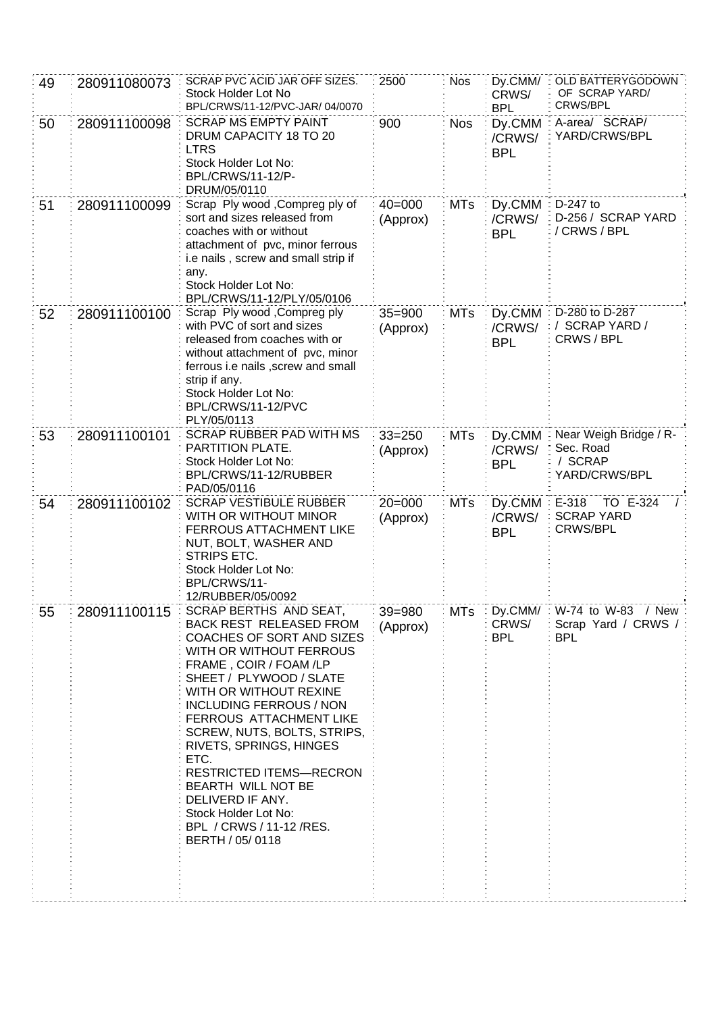| 49 | 280911080073 | SCRAP PVC ACID JAR OFF SIZES.<br>Stock Holder Lot No<br>BPL/CRWS/11-12/PVC-JAR/ 04/0070                                                                                                                                                                                                                                                                                                                                                                                            | 2500                   | <b>Nos</b> | Dy.CMM/<br>CRWS/<br><b>BPL</b>    | OLD BATTERYGODOWN<br>OF SCRAP YARD/<br>CRWS/BPL                 |
|----|--------------|------------------------------------------------------------------------------------------------------------------------------------------------------------------------------------------------------------------------------------------------------------------------------------------------------------------------------------------------------------------------------------------------------------------------------------------------------------------------------------|------------------------|------------|-----------------------------------|-----------------------------------------------------------------|
| 50 | 280911100098 | <b>SCRAP MS EMPTY PAINT</b><br>DRUM CAPACITY 18 TO 20<br><b>LTRS</b><br>Stock Holder Lot No:<br>BPL/CRWS/11-12/P-<br>DRUM/05/0110                                                                                                                                                                                                                                                                                                                                                  | 900                    | <b>Nos</b> | Dy.CMM<br>/CRWS/<br><b>BPL</b>    | A-area/ SCRAP/<br>YARD/CRWS/BPL                                 |
| 51 | 280911100099 | Scrap Ply wood , Compreg ply of<br>sort and sizes released from<br>coaches with or without<br>attachment of pvc, minor ferrous<br>i.e nails, screw and small strip if<br>any.<br>Stock Holder Lot No:<br>BPL/CRWS/11-12/PLY/05/0106                                                                                                                                                                                                                                                | $40 = 000$<br>(Approx) | <b>MTs</b> | Dy.CMM<br>/CRWS/<br><b>BPL</b>    | D-247 to<br>D-256 / SCRAP YARD<br>/ CRWS / BPL                  |
| 52 | 280911100100 | Scrap Ply wood, Compreg ply<br>with PVC of sort and sizes<br>released from coaches with or<br>without attachment of pvc, minor<br>ferrous i.e nails , screw and small<br>strip if any.<br>Stock Holder Lot No:<br>BPL/CRWS/11-12/PVC<br>PLY/05/0113                                                                                                                                                                                                                                | $35 = 900$<br>(Approx) | <b>MTs</b> | Dy.CMM<br>/CRWS/<br><b>BPL</b>    | D-280 to D-287<br>/ SCRAP YARD /<br>CRWS / BPL                  |
| 53 | 280911100101 | <b>SCRAP RUBBER PAD WITH MS</b><br>PARTITION PLATE.<br>Stock Holder Lot No:<br>BPL/CRWS/11-12/RUBBER<br>PAD/05/0116                                                                                                                                                                                                                                                                                                                                                                | $33 = 250$<br>(Approx) | <b>MTs</b> | Dy.CMM<br>/CRWS/<br><b>BPL</b>    | Near Weigh Bridge / R-<br>Sec. Road<br>/ SCRAP<br>YARD/CRWS/BPL |
| 54 | 280911100102 | <b>SCRAP VESTIBULE RUBBER</b><br>WITH OR WITHOUT MINOR<br><b>FERROUS ATTACHMENT LIKE</b><br>NUT, BOLT, WASHER AND<br>STRIPS ETC.<br>Stock Holder Lot No:<br>BPL/CRWS/11-<br>12/RUBBER/05/0092                                                                                                                                                                                                                                                                                      | $20 = 000$<br>(Approx) | <b>MTs</b> | Dy.CMM<br>/CRWS/<br><b>BPL</b>    | TO E-324<br>E-318<br><b>SCRAP YARD</b><br><b>CRWS/BPL</b>       |
| 55 | 280911100115 | SCRAP BERTHS AND SEAT,<br><b>BACK REST RELEASED FROM</b><br>COACHES OF SORT AND SIZES<br>WITH OR WITHOUT FERROUS<br>FRAME, COIR / FOAM /LP<br>SHEET / PLYWOOD / SLATE<br>WITH OR WITHOUT REXINE<br><b>INCLUDING FERROUS / NON</b><br>FERROUS ATTACHMENT LIKE<br>SCREW, NUTS, BOLTS, STRIPS,<br>RIVETS, SPRINGS, HINGES<br>ETC.<br><b>RESTRICTED ITEMS-RECRON</b><br>BEARTH WILL NOT BE<br>DELIVERD IF ANY.<br>Stock Holder Lot No:<br>BPL / CRWS / 11-12 / RES.<br>BERTH / 05/0118 | $39 = 980$<br>(Approx) | MTs        | : Dy.CMM/:<br>CRWS/<br><b>BPL</b> | W-74 to W-83 / New:<br>Scrap Yard / CRWS /<br><b>BPL</b>        |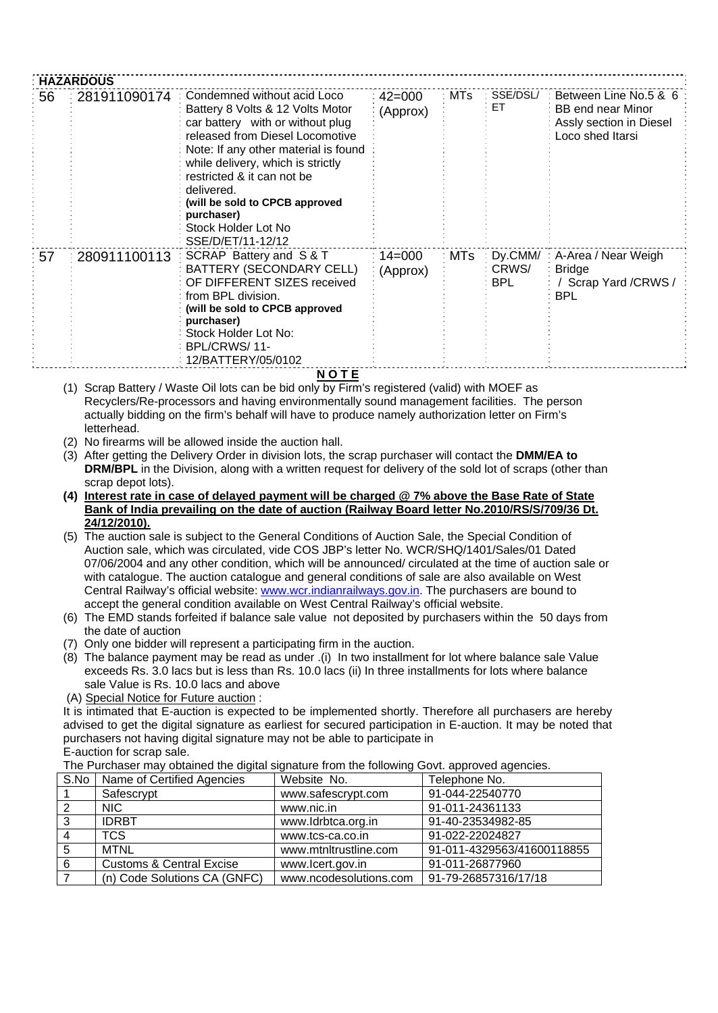|      | <b>HAZARDOUS</b> |                                                                                                                                                                                                                                                                                                                                                             |                        |       |                           |                                                                                                  |
|------|------------------|-------------------------------------------------------------------------------------------------------------------------------------------------------------------------------------------------------------------------------------------------------------------------------------------------------------------------------------------------------------|------------------------|-------|---------------------------|--------------------------------------------------------------------------------------------------|
| 56   | 281911090174     | Condemned without acid Loco<br>Battery 8 Volts & 12 Volts Motor<br>car battery with or without plug<br>released from Diesel Locomotive<br>Note: If any other material is found<br>while delivery, which is strictly<br>restricted & it can not be<br>delivered.<br>(will be sold to CPCB approved<br>purchaser)<br>Stock Holder Lot No<br>SSE/D/ET/11-12/12 | $42 = 000$<br>(Approx) | MTs   | SSE/DSL/<br>ET.           | Between Line No.5 & 6<br><b>BB</b> end near Minor<br>Assly section in Diesel<br>Loco shed Itarsi |
| ፡ 57 | 280911100113     | SCRAP Battery and S & T<br><b>BATTERY (SECONDARY CELL)</b><br>OF DIFFERENT SIZES received<br>from BPL division.<br>(will be sold to CPCB approved<br>purchaser)<br>Stock Holder Lot No:<br>BPL/CRWS/11-<br>12/BATTERY/05/0102                                                                                                                               | $14 = 000$<br>(Approx) | ∶ MTs | : Dy.CMM/<br>CRWS/<br>BPL | A-Area / Near Weigh<br><b>Bridge</b><br>Scrap Yard / CRWS /<br><b>BPL</b>                        |

**N O T E**

- (1) Scrap Battery / Waste Oil lots can be bid only by Firm's registered (valid) with MOEF as Recyclers/Re-processors and having environmentally sound management facilities. The person actually bidding on the firm's behalf will have to produce namely authorization letter on Firm's letterhead.
- (2) No firearms will be allowed inside the auction hall.
- (3) After getting the Delivery Order in division lots, the scrap purchaser will contact the **DMM/EA to DRM/BPL** in the Division, along with a written request for delivery of the sold lot of scraps (other than scrap depot lots).
- **(4) Interest rate in case of delayed payment will be charged @ 7% above the Base Rate of State Bank of India prevailing on the date of auction (Railway Board letter No.2010/RS/S/709/36 Dt. 24/12/2010).**
- (5) The auction sale is subject to the General Conditions of Auction Sale, the Special Condition of Auction sale, which was circulated, vide COS JBP's letter No. WCR/SHQ/1401/Sales/01 Dated 07/06/2004 and any other condition, which will be announced/ circulated at the time of auction sale or with catalogue. The auction catalogue and general conditions of sale are also available on West Central Railway's official website: [www.wcr.indianrailways.gov.in.](http://www.wcr.indianrailways.gov.in/) The purchasers are bound to accept the general condition available on West Central Railway's official website.
- (6) The EMD stands forfeited if balance sale value not deposited by purchasers within the 50 days from the date of auction
- (7) Only one bidder will represent a participating firm in the auction.
- (8) The balance payment may be read as under .(i) In two installment for lot where balance sale Value exceeds Rs. 3.0 lacs but is less than Rs. 10.0 lacs (ii) In three installments for lots where balance sale Value is Rs. 10.0 lacs and above
- (A) Special Notice for Future auction :

It is intimated that E-auction is expected to be implemented shortly. Therefore all purchasers are hereby advised to get the digital signature as earliest for secured participation in E-auction. It may be noted that purchasers not having digital signature may not be able to participate in E-auction for scrap sale.

The Purchaser may obtained the digital signature from the following Govt. approved agencies.

| S.No | Name of Certified Agencies          | Website No.            | Telephone No.              |
|------|-------------------------------------|------------------------|----------------------------|
|      | Safescrypt                          | www.safescrypt.com     | 91-044-22540770            |
|      | NIC.                                | www.nic.in             | 91-011-24361133            |
| 3    | <b>IDRBT</b>                        | www.ldrbtca.org.in     | 91-40-23534982-85          |
|      | <b>TCS</b>                          | www.tcs-ca.co.in       | 91-022-22024827            |
|      | <b>MTNL</b>                         | www.mtnltrustline.com  | 91-011-4329563/41600118855 |
| 6    | <b>Customs &amp; Central Excise</b> | www.lcert.gov.in       | 91-011-26877960            |
|      | (n) Code Solutions CA (GNFC)        | www.ncodesolutions.com | 91-79-26857316/17/18       |